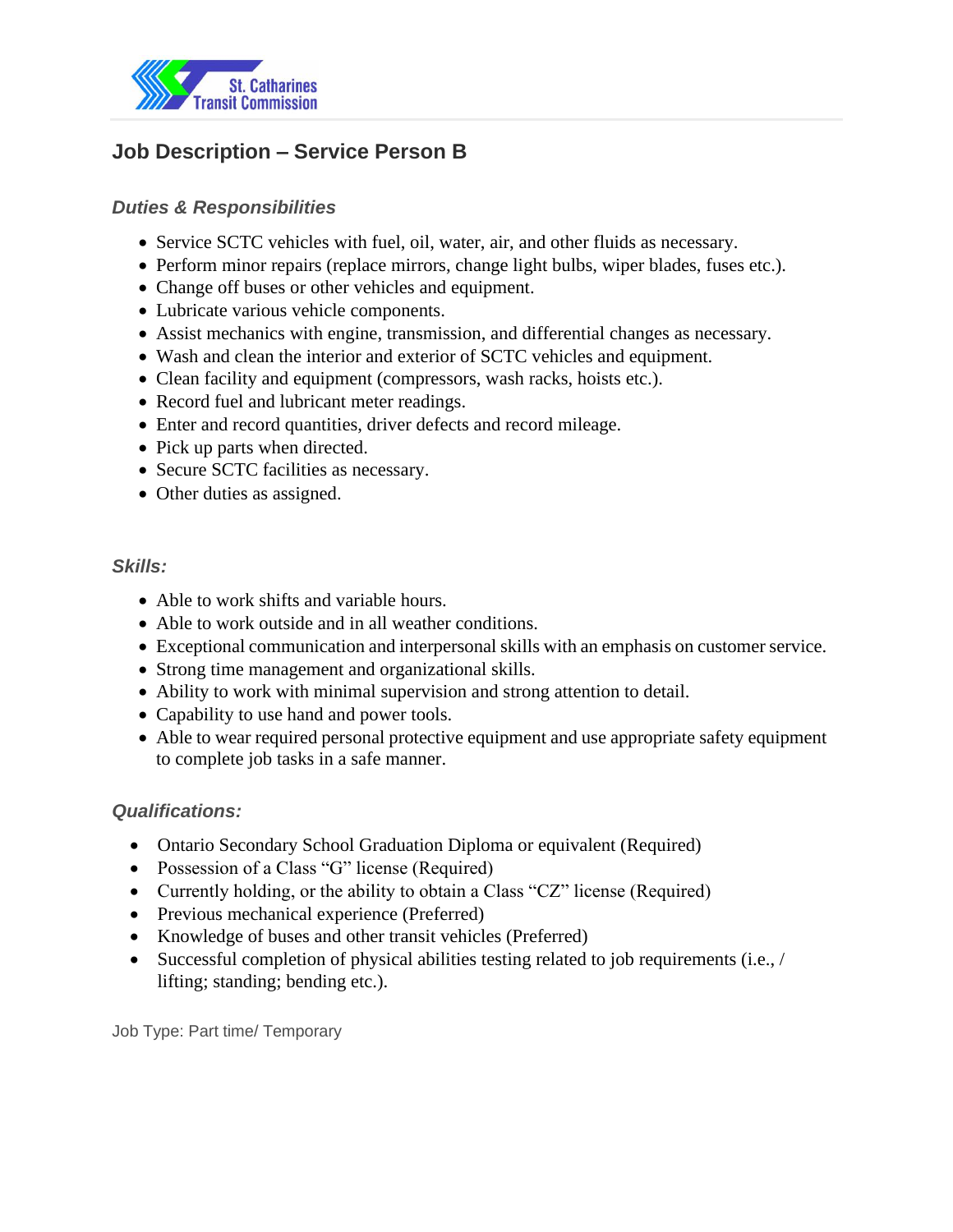

# **Job Description – Service Person B**

## *Duties & Responsibilities*

- Service SCTC vehicles with fuel, oil, water, air, and other fluids as necessary.
- Perform minor repairs (replace mirrors, change light bulbs, wiper blades, fuses etc.).
- Change off buses or other vehicles and equipment.
- Lubricate various vehicle components.
- Assist mechanics with engine, transmission, and differential changes as necessary.
- Wash and clean the interior and exterior of SCTC vehicles and equipment.
- Clean facility and equipment (compressors, wash racks, hoists etc.).
- Record fuel and lubricant meter readings.
- Enter and record quantities, driver defects and record mileage.
- Pick up parts when directed.
- Secure SCTC facilities as necessary.
- Other duties as assigned.

#### *Skills:*

- Able to work shifts and variable hours.
- Able to work outside and in all weather conditions.
- Exceptional communication and interpersonal skills with an emphasis on customer service.
- Strong time management and organizational skills.
- Ability to work with minimal supervision and strong attention to detail.
- Capability to use hand and power tools.
- Able to wear required personal protective equipment and use appropriate safety equipment to complete job tasks in a safe manner.

#### *Qualifications:*

- Ontario Secondary School Graduation Diploma or equivalent (Required)
- Possession of a Class "G" license (Required)
- Currently holding, or the ability to obtain a Class "CZ" license (Required)
- Previous mechanical experience (Preferred)
- Knowledge of buses and other transit vehicles (Preferred)
- Successful completion of physical abilities testing related to job requirements (i.e., / lifting; standing; bending etc.).

Job Type: Part time/ Temporary